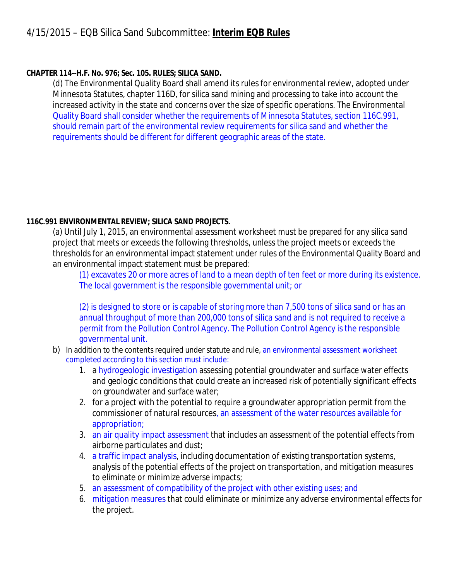## **CHAPTER 114--H.F. No. 976; Sec. 105. RULES; SILICA SAND.**

(d) The Environmental Quality Board shall amend its rules for environmental review, adopted under Minnesota Statutes, chapter 116D, for silica sand mining and processing to take into account the increased activity in the state and concerns over the size of specific operations. The Environmental Quality Board shall consider whether the requirements of Minnesota Statutes, section 116C.991, should remain part of the environmental review requirements for silica sand and whether the requirements should be different for different geographic areas of the state.

## **116C.991 ENVIRONMENTAL REVIEW; SILICA SAND PROJECTS.**

(a) Until July 1, 2015, an environmental assessment worksheet must be prepared for any silica sand project that meets or exceeds the following thresholds, unless the project meets or exceeds the thresholds for an environmental impact statement under rules of the Environmental Quality Board and an environmental impact statement must be prepared:

(1) excavates 20 or more acres of land to a mean depth of ten feet or more during its existence. The local government is the responsible governmental unit; or

(2) is designed to store or is capable of storing more than 7,500 tons of silica sand or has an annual throughput of more than 200,000 tons of silica sand and is not required to receive a permit from the Pollution Control Agency. The Pollution Control Agency is the responsible governmental unit.

- b) In addition to the contents required under statute and rule, an environmental assessment worksheet completed according to this section must include:
	- 1. a hydrogeologic investigation assessing potential groundwater and surface water effects and geologic conditions that could create an increased risk of potentially significant effects on groundwater and surface water;
	- 2. for a project with the potential to require a groundwater appropriation permit from the commissioner of natural resources, an assessment of the water resources available for appropriation;
	- 3. an air quality impact assessment that includes an assessment of the potential effects from airborne particulates and dust;
	- 4. a traffic impact analysis, including documentation of existing transportation systems, analysis of the potential effects of the project on transportation, and mitigation measures to eliminate or minimize adverse impacts;
	- 5. an assessment of compatibility of the project with other existing uses; and
	- 6. mitigation measures that could eliminate or minimize any adverse environmental effects for the project.